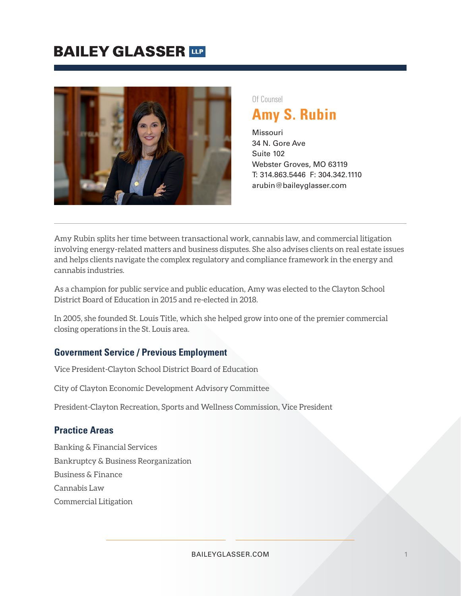## **BAILEY GLASSER TIP**



#### Of Counsel

**Amy S. Rubin**

Missouri 34 N. Gore Ave Suite 102 Webster Groves, MO 63119 T: 314.863.5446 F: 304.342.1110 arubin@baileyglasser.com

Amy Rubin splits her time between transactional work, cannabis law, and commercial litigation involving energy-related matters and business disputes. She also advises clients on real estate issues and helps clients navigate the complex regulatory and compliance framework in the energy and cannabis industries.

As a champion for public service and public education, Amy was elected to the Clayton School District Board of Education in 2015 and re-elected in 2018.

In 2005, she founded St. Louis Title, which she helped grow into one of the premier commercial closing operations in the St. Louis area.

#### **Government Service / Previous Employment**

Vice President-Clayton School District Board of Education

City of Clayton Economic Development Advisory Committee

President-Clayton Recreation, Sports and Wellness Commission, Vice President

#### **Practice Areas**

Banking & Financial Services Bankruptcy & Business Reorganization Business & Finance Cannabis Law Commercial Litigation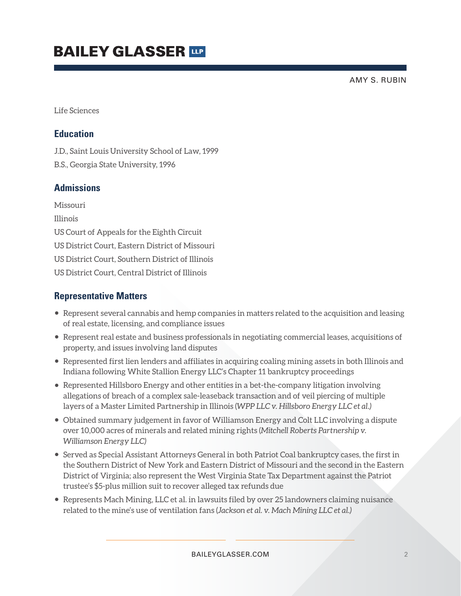# **BAILEY GLASSER TIP**

AMY S. RUBIN

Life Sciences

#### **Education**

J.D., Saint Louis University School of Law, 1999

B.S., Georgia State University, 1996

### **Admissions**

Missouri Illinois US Court of Appeals for the Eighth Circuit US District Court, Eastern District of Missouri US District Court, Southern District of Illinois US District Court, Central District of Illinois

#### **Representative Matters**

- Represent several cannabis and hemp companies in matters related to the acquisition and leasing of real estate, licensing, and compliance issues
- Represent real estate and business professionals in negotiating commercial leases, acquisitions of property, and issues involving land disputes
- Represented first lien lenders and affiliates in acquiring coaling mining assets in both Illinois and Indiana following White Stallion Energy LLC's Chapter 11 bankruptcy proceedings
- Represented Hillsboro Energy and other entities in a bet-the-company litigation involving allegations of breach of a complex sale-leaseback transaction and of veil piercing of multiple layers of a Master Limited Partnership in Illinois (*WPP LLC v. Hillsboro Energy LLC et al.)*
- Obtained summary judgement in favor of Williamson Energy and Colt LLC involving a dispute over 10,000 acres of minerals and related mining rights (*Mitchell Roberts Partnership v. Williamson Energy LLC)*
- Served as Special Assistant Attorneys General in both Patriot Coal bankruptcy cases, the first in the Southern District of New York and Eastern District of Missouri and the second in the Eastern District of Virginia; also represent the West Virginia State Tax Department against the Patriot trustee's \$5-plus million suit to recover alleged tax refunds due
- Represents Mach Mining, LLC et al. in lawsuits filed by over 25 landowners claiming nuisance related to the mine's use of ventilation fans (*Jackson et al. v. Mach Mining LLC et al.)*